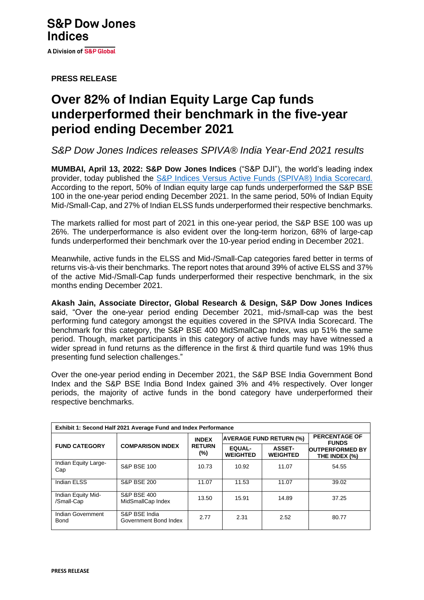**PRESS RELEASE**

# **Over 82% of Indian Equity Large Cap funds underperformed their benchmark in the five-year period ending December 2021**

*S&P Dow Jones Indices releases SPIVA® India Year-End 2021 results*

**MUMBAI, April 13, 2022: S&P Dow Jones Indices** ("S&P DJI"), the world's leading index provider, today published the [S&P Indices Versus Active Funds \(SPIVA®\) India Scorecard.](https://www.spglobal.com/spdji/en/spiva/article/spiva-india/) According to the report, 50% of Indian equity large cap funds underperformed the S&P BSE 100 in the one-year period ending December 2021. In the same period, 50% of Indian Equity Mid-/Small-Cap, and 27% of Indian ELSS funds underperformed their respective benchmarks.

The markets rallied for most part of 2021 in this one-year period, the S&P BSE 100 was up 26%. The underperformance is also evident over the long-term horizon, 68% of large-cap funds underperformed their benchmark over the 10-year period ending in December 2021.

Meanwhile, active funds in the ELSS and Mid-/Small-Cap categories fared better in terms of returns vis-à-vis their benchmarks. The report notes that around 39% of active ELSS and 37% of the active Mid-/Small-Cap funds underperformed their respective benchmark, in the six months ending December 2021.

**Akash Jain, Associate Director, Global Research & Design, S&P Dow Jones Indices** said, "Over the one-year period ending December 2021, mid-/small-cap was the best performing fund category amongst the equities covered in the SPIVA India Scorecard. The benchmark for this category, the S&P BSE 400 MidSmallCap Index, was up 51% the same period. Though, market participants in this category of active funds may have witnessed a wider spread in fund returns as the difference in the first & third quartile fund was 19% thus presenting fund selection challenges."

Over the one-year period ending in December 2021, the S&P BSE India Government Bond Index and the S&P BSE India Bond Index gained 3% and 4% respectively. Over longer periods, the majority of active funds in the bond category have underperformed their respective benchmarks.

| Exhibit 1: Second Half 2021 Average Fund and Index Performance |                                             |                                      |                                  |                                  |                                         |  |  |  |
|----------------------------------------------------------------|---------------------------------------------|--------------------------------------|----------------------------------|----------------------------------|-----------------------------------------|--|--|--|
| <b>FUND CATEGORY</b>                                           | <b>COMPARISON INDEX</b>                     | <b>INDEX</b><br><b>RETURN</b><br>(%) | <b>AVERAGE FUND RETURN (%)</b>   |                                  | <b>PERCENTAGE OF</b><br><b>FUNDS</b>    |  |  |  |
|                                                                |                                             |                                      | <b>EQUAL-</b><br><b>WEIGHTED</b> | <b>ASSET-</b><br><b>WEIGHTED</b> | <b>OUTPERFORMED BY</b><br>THE INDEX (%) |  |  |  |
| Indian Equity Large-<br>Cap                                    | <b>S&amp;P BSE 100</b>                      | 10.73                                | 10.92                            | 11.07                            | 54.55                                   |  |  |  |
| Indian ELSS                                                    | <b>S&amp;P BSE 200</b>                      | 11.07                                | 11.53                            | 11.07                            | 39.02                                   |  |  |  |
| Indian Equity Mid-<br>/Small-Cap                               | <b>S&amp;P BSE 400</b><br>MidSmallCap Index | 13.50                                | 15.91                            | 14.89                            | 37.25                                   |  |  |  |
| Indian Government<br><b>Bond</b>                               | S&P BSE India<br>Government Bond Index      | 2.77                                 | 2.31                             | 2.52                             | 80.77                                   |  |  |  |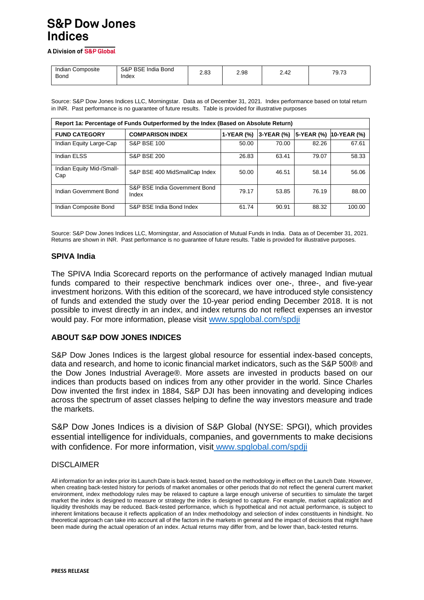# **S&P Dow Jones Indices**

A Division of S&P Global

| Indian Composite<br><b>Bond</b> | S&P BSE<br>India Bond<br>Index | 2.83 | 2.98 | 2.42 | 79.73 |
|---------------------------------|--------------------------------|------|------|------|-------|
|                                 |                                |      |      |      |       |

Source: S&P Dow Jones Indices LLC, Morningstar. Data as of December 31, 2021. Index performance based on total return in INR. Past performance is no guarantee of future results. Table is provided for illustrative purposes

| Report 1a: Percentage of Funds Outperformed by the Index (Based on Absolute Return) |                                        |            |            |            |               |  |  |  |
|-------------------------------------------------------------------------------------|----------------------------------------|------------|------------|------------|---------------|--|--|--|
| <b>FUND CATEGORY</b>                                                                | <b>COMPARISON INDEX</b>                | 1-YEAR (%) | 3-YEAR (%) | 5-YEAR (%) | $10-YEAR (%)$ |  |  |  |
| Indian Equity Large-Cap                                                             | <b>S&amp;P BSE 100</b>                 | 50.00      | 70.00      | 82.26      | 67.61         |  |  |  |
| Indian ELSS                                                                         | <b>S&amp;P BSE 200</b>                 | 26.83      | 63.41      | 79.07      | 58.33         |  |  |  |
| Indian Equity Mid-/Small-<br>Cap                                                    | S&P BSE 400 MidSmallCap Index          | 50.00      | 46.51      | 58.14      | 56.06         |  |  |  |
| Indian Government Bond                                                              | S&P BSE India Government Bond<br>Index | 79.17      | 53.85      | 76.19      | 88.00         |  |  |  |
| Indian Composite Bond                                                               | S&P BSE India Bond Index               | 61.74      | 90.91      | 88.32      | 100.00        |  |  |  |

Source: S&P Dow Jones Indices LLC, Morningstar, and Association of Mutual Funds in India. Data as of December 31, 2021. Returns are shown in INR. Past performance is no guarantee of future results. Table is provided for illustrative purposes.

#### **SPIVA India**

The SPIVA India Scorecard reports on the performance of actively managed Indian mutual funds compared to their respective benchmark indices over one-, three-, and five-year investment horizons. With this edition of the scorecard, we have introduced style consistency of funds and extended the study over the 10-year period ending December 2018. It is not possible to invest directly in an index, and index returns do not reflect expenses an investor would pay. For more information, please visit [www.spglobal.com/spdji](http://www.spglobal.com/spdji)

### **ABOUT S&P DOW JONES INDICES**

S&P Dow Jones Indices is the largest global resource for essential index-based concepts, data and research, and home to iconic financial market indicators, such as the S&P 500® and the Dow Jones Industrial Average®. More assets are invested in products based on our indices than products based on indices from any other provider in the world. Since Charles Dow invented the first index in 1884, S&P DJI has been innovating and developing indices across the spectrum of asset classes helping to define the way investors measure and trade the markets.

S&P Dow Jones Indices is a division of S&P Global (NYSE: SPGI), which provides essential intelligence for individuals, companies, and governments to make decisions with confidence. For more information, visit [www.spglobal.com/spdji](http://www.spglobal.com/spdji)

#### DISCLAIMER

All information for an index prior its Launch Date is back-tested, based on the methodology in effect on the Launch Date. However, when creating back-tested history for periods of market anomalies or other periods that do not reflect the general current market environment, index methodology rules may be relaxed to capture a large enough universe of securities to simulate the target market the index is designed to measure or strategy the index is designed to capture. For example, market capitalization and liquidity thresholds may be reduced. Back-tested performance, which is hypothetical and not actual performance, is subject to inherent limitations because it reflects application of an Index methodology and selection of index constituents in hindsight. No theoretical approach can take into account all of the factors in the markets in general and the impact of decisions that might have been made during the actual operation of an index. Actual returns may differ from, and be lower than, back-tested returns.